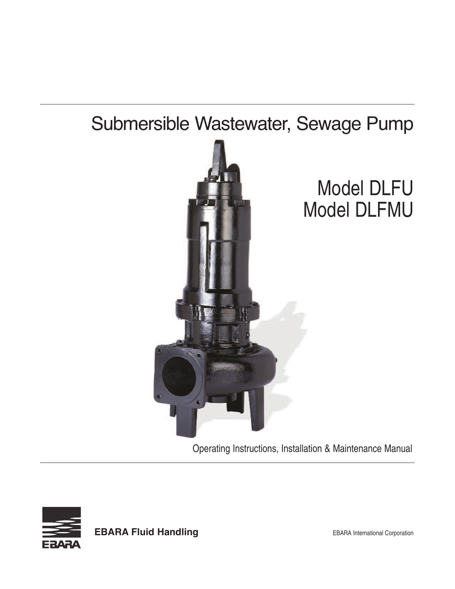# Submersible Wastewater, Sewage Pump



Operating Instructions, Installation & Maintenance Manual



**EBARA Fluid Handling EBARA** International Corporation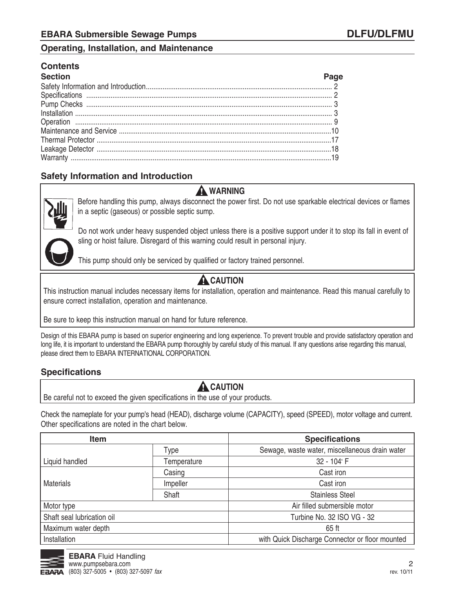#### **Contents**

| Section |  |
|---------|--|
|         |  |
|         |  |
|         |  |
|         |  |
|         |  |
|         |  |
|         |  |
|         |  |
|         |  |

#### **Safety Information and Introduction**



before handling this pump, always disconnect the power first. Do not use sparkable electrical devices or flames in a septic (gaseous) or possible septic sump.

Do not work under heavy suspended object unless there is a positive support under it to stop its fall in event of sling or hoist failure. Disregard of this warning could result in personal injury.

This pump should only be serviced by qualified or factory trained personnel.

### **A** CAUTION

**warning**

This instruction manual includes necessary items for installation, operation and maintenance. Read this manual carefully to ensure correct installation, operation and maintenance.

be sure to keep this instruction manual on hand for future reference.

Design of this EBARA pump is based on superior engineering and long experience. To prevent trouble and provide satisfactory operation and long life, it is important to understand the EBARA pump thoroughly by careful study of this manual. If any questions arise regarding this manual, please direct them to EBARA INTERNATIONAL CORPORATION.

#### **Specifications**

#### **A** CAUTION

be careful not to exceed the given specifications in the use of your products.

Check the nameplate for your pump's head (HEaD), discharge volume (CaPaCITY), speed (SPEED), motor voltage and current. Other specifications are noted in the chart below.

| <b>Item</b>                |             | <b>Specifications</b>                           |
|----------------------------|-------------|-------------------------------------------------|
|                            | Type        | Sewage, waste water, miscellaneous drain water  |
| Liquid handled             | Temperature | 32 - 104° F                                     |
|                            | Casing      | Cast iron                                       |
| <b>Materials</b>           | Impeller    | Cast iron                                       |
|                            | Shaft       | <b>Stainless Steel</b>                          |
| Motor type                 |             | Air filled submersible motor                    |
| Shaft seal lubrication oil |             | Turbine No. 32 ISO VG - 32                      |
| Maximum water depth        |             | 65 ft                                           |
| Installation               |             | with Quick Discharge Connector or floor mounted |

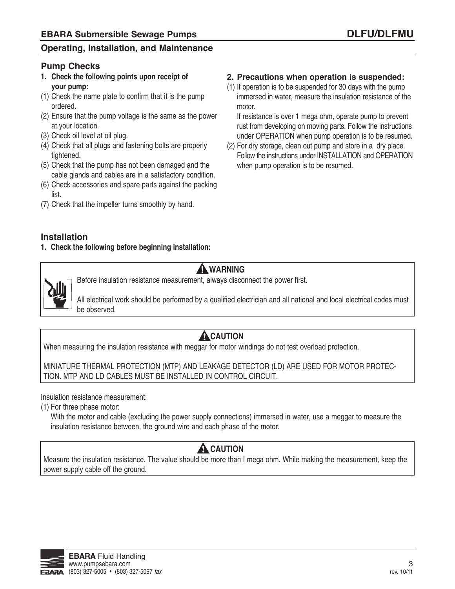#### **Pump Checks**

- **1. Check the following points upon receipt of your pump:**
- (1) Check the name plate to confirm that it is the pump ordered.
- (2) Ensure that the pump voltage is the same as the power at your location.
- (3) Check oil level at oil plug.
- (4) Check that all plugs and fastening bolts are properly tightened.
- (5) Check that the pump has not been damaged and the cable glands and cables are in a satisfactory condition.
- (6) Check accessories and spare parts against the packing list.
- (7) Check that the impeller turns smoothly by hand.

#### **2. Precautions when operation is suspended:**

(1) If operation is to be suspended for 30 days with the pump immersed in water, measure the insulation resistance of the motor.

If resistance is over 1 mega ohm, operate pump to prevent rust from developing on moving parts. Follow the instructions under OPEraTION when pump operation is to be resumed.

(2) For dry storage, clean out pump and store in a dry place. Follow the instructions under INSTALLATION and OPERATION when pump operation is to be resumed.

#### **Installation**

**1. Check the following before beginning installation:**



#### **warning**

before insulation resistance measurement, always disconnect the power first.

all electrical work should be performed by a qualified electrician and all national and local electrical codes must be observed.

### **A**CAUTION

When measuring the insulation resistance with meggar for motor windings do not test overload protection.

MINIaTUrE THErMaL PrOTECTION (MTP) aND LEaKaGE DETECTOr (LD) arE USED FOr MOTOr PrOTEC-TION. MTP aND LD CabLES MUST bE INSTaLLED IN CONTrOL CIrCUIT.

Insulation resistance measurement:

(1) For three phase motor:

With the motor and cable (excluding the power supply connections) immersed in water, use a meggar to measure the insulation resistance between, the ground wire and each phase of the motor.

### **A** CAUTION

Measure the insulation resistance. The value should be more than I mega ohm. While making the measurement, keep the power supply cable off the ground.

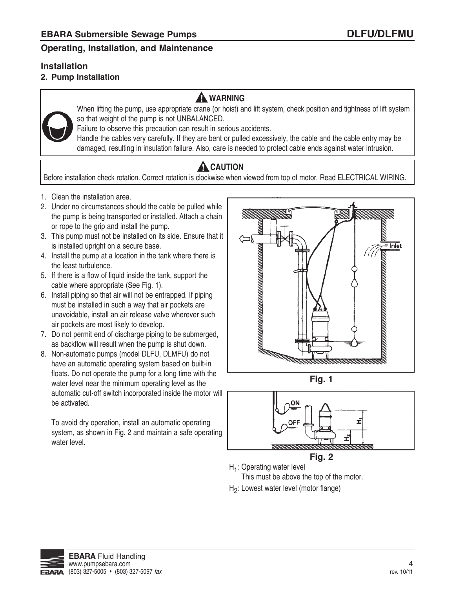#### **Installation**

#### **2. Pump Installation**

### **warning**



When lifting the pump, use appropriate crane (or hoist) and lift system, check position and tightness of lift system so that weight of the pump is not UNBALANCED.

Failure to observe this precaution can result in serious accidents.

Handle the cables very carefully. If they are bent or pulled excessively, the cable and the cable entry may be damaged, resulting in insulation failure. Also, care is needed to protect cable ends against water intrusion.

## **A** CAUTION

Before installation check rotation. Correct rotation is clockwise when viewed from top of motor. Read ELECTRICAL WIRING.

- 1. Clean the installation area.
- 2. Under no circumstances should the cable be pulled while the pump is being transported or installed. Attach a chain or rope to the grip and install the pump.
- 3. This pump must not be installed on its side. Ensure that it is installed upright on a secure base.
- 4. Install the pump at a location in the tank where there is the least turbulence.
- 5. If there is a flow of liquid inside the tank, support the cable where appropriate (See Fig. 1).
- 6. Install piping so that air will not be entrapped. If piping must be installed in such a way that air pockets are unavoidable, install an air release valve wherever such air pockets are most likely to develop.
- 7. Do not permit end of discharge piping to be submerged, as backflow will result when the pump is shut down.
- 8. Non-automatic pumps (model DLFU, DLMFU) do not have an automatic operating system based on built-in floats. Do not operate the pump for a long time with the water level near the minimum operating level as the automatic cut-off switch incorporated inside the motor will be activated.

To avoid dry operation, install an automatic operating system, as shown in Fig. 2 and maintain a safe operating water level.







**Fig. 2**

- H<sub>1</sub>: Operating water level
- This must be above the top of the motor.
- H2: Lowest water level (motor flange)

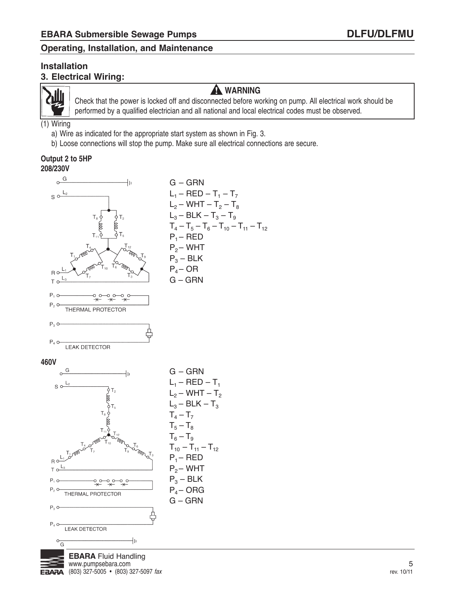#### **Installation 3. Electrical Wiring:**



#### **warning**

Check that the power is locked off and disconnected before working on pump. all electrical work should be performed by a qualified electrician and all national and local electrical codes must be observed.

(1) Wiring

- a) Wire as indicated for the appropriate start system as shown in Fig. 3.
- b) Loose connections will stop the pump. Make sure all electrical connections are secure.

#### **output 2 to 5HP 208/230V**

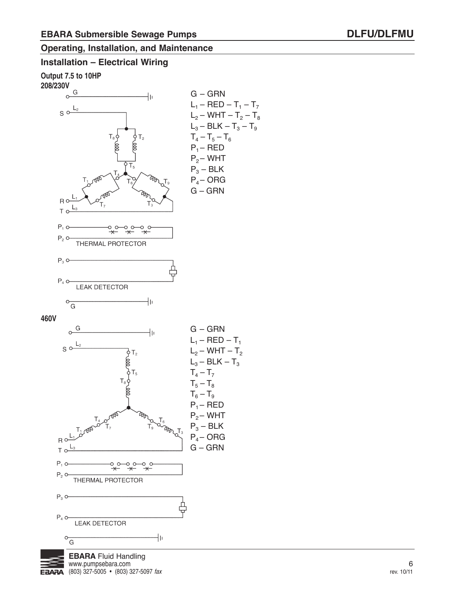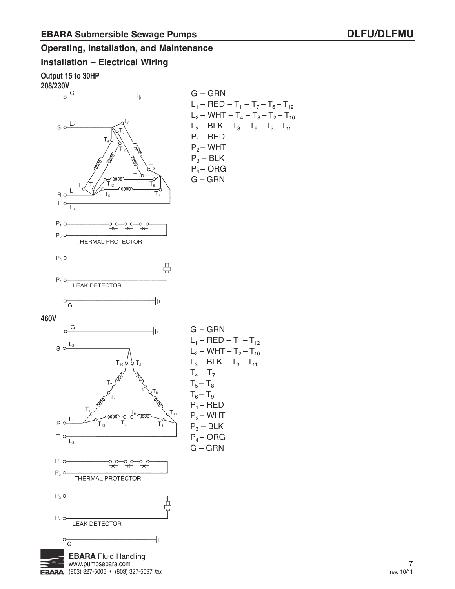#### **Installation – Electrical Wiring**

 $EBARA$  (803) 327-5005 • (803) 327-5097 fax

**output 15 to 30HP**



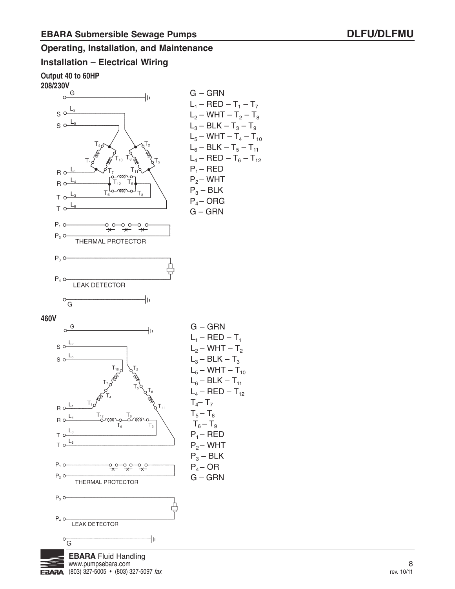#### **Installation – Electrical Wiring**

**output 40 to 60HP**





 $EBARA$  (803) 327-5005 • (803) 327-5097 fax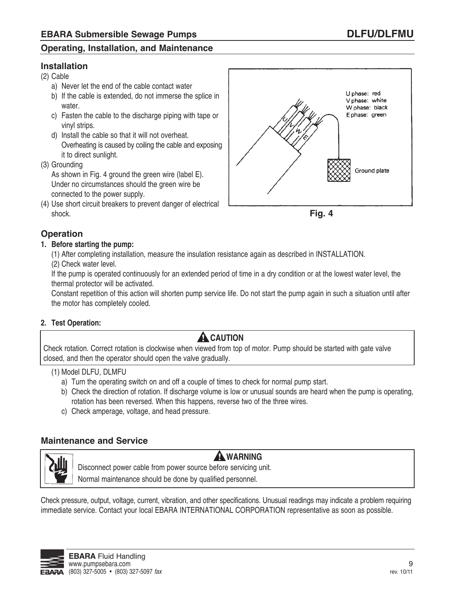#### **Installation**

(2) Cable

- a) Never let the end of the cable contact water
- b) If the cable is extended, do not immerse the splice in water.
- c) Fasten the cable to the discharge piping with tape or vinyl strips.
- d) Install the cable so that it will not overheat. Overheating is caused by coiling the cable and exposing it to direct sunlight.
- (3) Grounding

As shown in Fig. 4 ground the green wire (label E). Under no circumstances should the green wire be connected to the power supply.

(4) Use short circuit breakers to prevent danger of electrical shock.





#### **Operation**

#### **1. Before starting the pump:**

(1) after completing installation, measure the insulation resistance again as described in INSTaLLaTION.

(2) Check water level.

If the pump is operated continuously for an extended period of time in a dry condition or at the lowest water level, the thermal protector will be activated.

Constant repetition of this action will shorten pump service life. Do not start the pump again in such a situation until after the motor has completely cooled.

#### **2. test operation:**

### **A** CAUTION

Check rotation. Correct rotation is clockwise when viewed from top of motor. Pump should be started with gate valve closed, and then the operator should open the valve gradually.

#### (1) Model DLFU, DLMFU

- a) Turn the operating switch on and off a couple of times to check for normal pump start.
- b) Check the direction of rotation. If discharge volume is low or unusual sounds are heard when the pump is operating, rotation has been reversed. When this happens, reverse two of the three wires.
- c) Check amperage, voltage, and head pressure.

#### **Maintenance and Service**



**warning**

Disconnect power cable from power source before servicing unit.

Normal maintenance should be done by qualified personnel.

Check pressure, output, voltage, current, vibration, and other specifications. Unusual readings may indicate a problem requiring immediate service. Contact your local EBARA INTERNATIONAL CORPORATION representative as soon as possible.

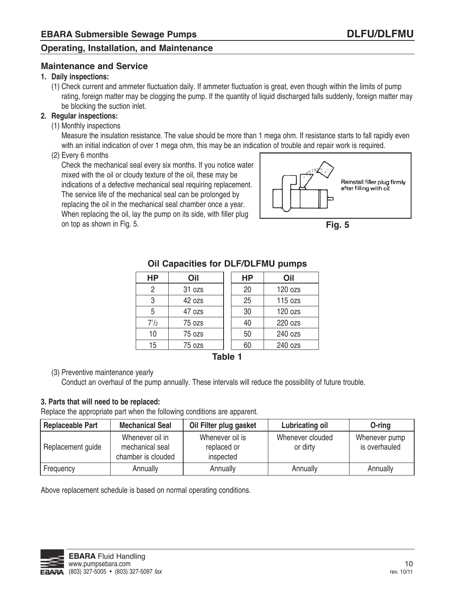#### **Maintenance and Service**

#### **1. Daily inspections:**

(1) Check current and ammeter fluctuation daily. If ammeter fluctuation is great, even though within the limits of pump rating, foreign matter may be clogging the pump. If the quantity of liquid discharged falls suddenly, foreign matter may be blocking the suction inlet.

#### **2. regular inspections:**

(1) Monthly inspections

Measure the insulation resistance. The value should be more than 1 mega ohm. If resistance starts to fall rapidly even with an initial indication of over 1 mega ohm, this may be an indication of trouble and repair work is required.

#### (2) Every 6 months

Check the mechanical seal every six months. If you notice water mixed with the oil or cloudy texture of the oil, these may be indications of a defective mechanical seal requiring replacement. The service life of the mechanical seal can be prolonged by replacing the oil in the mechanical seal chamber once a year.

When replacing the oil, lay the pump on its side, with filler plug on top as shown in Fig. 5.





| <b>HP</b>      | Oil                     |  | <b>HP</b> | Oil     |  |  |  |  |  |
|----------------|-------------------------|--|-----------|---------|--|--|--|--|--|
| $\overline{2}$ | 31 ozs                  |  | 20        | 120 ozs |  |  |  |  |  |
| 3              | 42 ozs                  |  | 25        | 115 ozs |  |  |  |  |  |
| 5              | 47 ozs                  |  | 30        | 120 ozs |  |  |  |  |  |
| $7^{1/2}$      | 75 ozs                  |  | 40        | 220 ozs |  |  |  |  |  |
| 10             | 75 ozs                  |  | 50        | 240 ozs |  |  |  |  |  |
| 15             | 240 ozs<br>60<br>75 ozs |  |           |         |  |  |  |  |  |
|                | T∍LI∍ 4                 |  |           |         |  |  |  |  |  |

#### **Oil Capacities for DLF/DLFMU pumps**

**Table 1**

#### (3) Preventive maintenance yearly

Conduct an overhaul of the pump annually. These intervals will reduce the possibility of future trouble.

#### **3. Parts that will need to be replaced:**

Replace the appropriate part when the following conditions are apparent.

| <b>Replaceable Part</b> | <b>Mechanical Seal</b>                                   | Oil Filter plug gasket                      | Lubricating oil              | O-ring                         |
|-------------------------|----------------------------------------------------------|---------------------------------------------|------------------------------|--------------------------------|
| Replacement guide       | Whenever oil in<br>mechanical seal<br>chamber is clouded | Whenever oil is<br>replaced or<br>inspected | Whenever clouded<br>or dirty | Whenever pump<br>is overhauled |
| Frequency               | Annually                                                 | Annually                                    | Annually                     | Annually                       |

above replacement schedule is based on normal operating conditions.

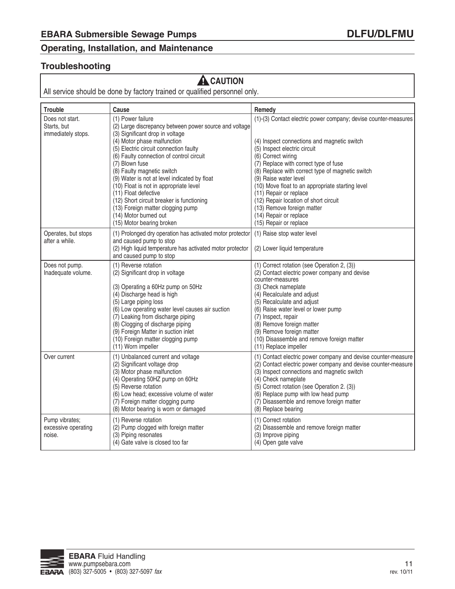#### **Troubleshooting**

### **A** CAUTION

All service should be done by factory trained or qualified personnel only.

| <b>Trouble</b>                                  | Cause                                                                                                                                                                                                                                                                                                                                                                                                                                                                                                                    | Remedy                                                                                                                                                                                                                                                                                                                                                                                                                           |
|-------------------------------------------------|--------------------------------------------------------------------------------------------------------------------------------------------------------------------------------------------------------------------------------------------------------------------------------------------------------------------------------------------------------------------------------------------------------------------------------------------------------------------------------------------------------------------------|----------------------------------------------------------------------------------------------------------------------------------------------------------------------------------------------------------------------------------------------------------------------------------------------------------------------------------------------------------------------------------------------------------------------------------|
| Does not start.                                 | (1) Power failure                                                                                                                                                                                                                                                                                                                                                                                                                                                                                                        | (1)-(3) Contact electric power company; devise counter-measures                                                                                                                                                                                                                                                                                                                                                                  |
| Starts, but<br>immediately stops.               | (2) Large discrepancy between power source and voltage<br>(3) Significant drop in voltage<br>(4) Motor phase malfunction<br>(5) Electric circuit connection faulty<br>(6) Faulty connection of control circuit<br>(7) Blown fuse<br>(8) Faulty magnetic switch<br>(9) Water is not at level indicated by float<br>(10) Float is not in appropriate level<br>(11) Float defective<br>(12) Short circuit breaker is functioning<br>(13) Foreign matter clogging pump<br>(14) Motor burned out<br>(15) Motor bearing broken | (4) Inspect connections and magnetic switch<br>(5) Inspect electric circuit<br>(6) Correct wiring<br>(7) Replace with correct type of fuse<br>(8) Replace with correct type of magnetic switch<br>(9) Raise water level<br>(10) Move float to an appropriate starting level<br>(11) Repair or replace<br>(12) Repair location of short circuit<br>(13) Remove foreign matter<br>(14) Repair or replace<br>(15) Repair or replace |
| Operates, but stops<br>after a while.           | (1) Prolonged dry operation has activated motor protector<br>and caused pump to stop<br>(2) High liquid temperature has activated motor protector<br>and caused pump to stop                                                                                                                                                                                                                                                                                                                                             | (1) Raise stop water level<br>(2) Lower liquid temperature                                                                                                                                                                                                                                                                                                                                                                       |
| Does not pump.<br>Inadequate volume.            | (1) Reverse rotation<br>(2) Significant drop in voltage<br>(3) Operating a 60Hz pump on 50Hz<br>(4) Discharge head is high<br>(5) Large piping loss<br>(6) Low operating water level causes air suction<br>(7) Leaking from discharge piping<br>(8) Clogging of discharge piping<br>(9) Foreign Matter in suction inlet<br>(10) Foreign matter clogging pump<br>(11) Worn impeller                                                                                                                                       | (1) Correct rotation (see Operation 2, (3))<br>(2) Contact electric power company and devise<br>counter-measures<br>(3) Check nameplate<br>(4) Recalculate and adjust<br>(5) Recalculate and adjust<br>(6) Raise water level or lower pump<br>(7) Inspect, repair<br>(8) Remove foreign matter<br>(9) Remove foreign matter<br>(10) Disassemble and remove foreign matter<br>(11) Replace impeller                               |
| Over current                                    | (1) Unbalanced current and voltage<br>(2) Significant voltage drop<br>(3) Motor phase malfunction<br>(4) Operating 50HZ pump on 60Hz<br>(5) Reverse rotation<br>(6) Low head; excessive volume of water<br>(7) Foreign matter clogging pump<br>(8) Motor bearing is worn or damaged                                                                                                                                                                                                                                      | (1) Contact electric power company and devise counter-measure<br>(2) Contact electric power company and devise counter-measure<br>(3) Inspect connections and magnetic switch<br>(4) Check nameplate<br>(5) Correct rotation (see Operation 2. (3))<br>(6) Replace pump with low head pump<br>(7) Disassemble and remove foreign matter<br>(8) Replace bearing                                                                   |
| Pump vibrates;<br>excessive operating<br>noise. | (1) Reverse rotation<br>(2) Pump clogged with foreign matter<br>(3) Piping resonates<br>(4) Gate valve is closed too far                                                                                                                                                                                                                                                                                                                                                                                                 | (1) Correct rotation<br>(2) Disassemble and remove foreign matter<br>(3) Improve piping<br>(4) Open gate valve                                                                                                                                                                                                                                                                                                                   |

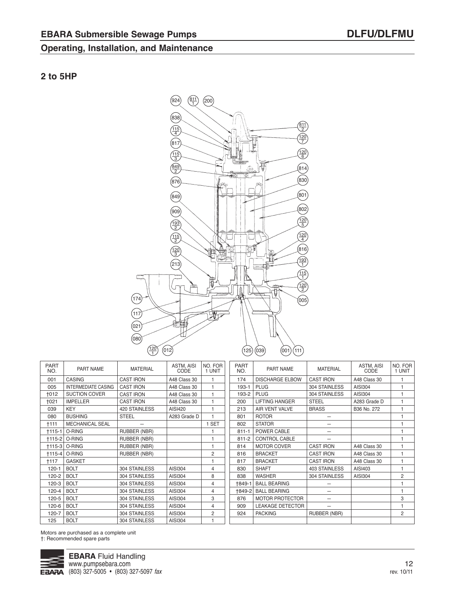#### **2 to 5HP**



| <b>PART</b><br>NO. | PART NAME                  | <b>MATERIAL</b>     | ASTM, AISI<br>CODE | NO. FOR<br>1 UNIT | <b>PART</b><br>NO. | PART NAME               | <b>MATERIAL</b>      | ASTM, AISI<br>CODE | NO. FOR<br>1 UNIT |
|--------------------|----------------------------|---------------------|--------------------|-------------------|--------------------|-------------------------|----------------------|--------------------|-------------------|
| 001                | <b>CASING</b>              | <b>CAST IRON</b>    | A48 Class 30       |                   | 174                | <b>DISCHARGE ELBOW</b>  | <b>CAST IRON</b>     | A48 Class 30       |                   |
| 005                | <b>INTERMEDIATE CASING</b> | <b>CAST IRON</b>    | A48 Class 30       |                   | 193-1              | <b>PLUG</b>             | 304 STAINLESS        | AISI304            |                   |
| $+012$             | <b>SUCTION COVER</b>       | <b>CAST IRON</b>    | A48 Class 30       |                   | 193-2              | <b>PLUG</b>             | 304 STAINLESS        | AISI304            |                   |
| +021               | <b>IMPELLER</b>            | <b>CAST IRON</b>    | A48 Class 30       |                   | 200                | <b>LIFTING HANGER</b>   | <b>STEEL</b>         | A283 Grade D       |                   |
| 039                | <b>KEY</b>                 | 420 STAINLESS       | AISI420            |                   | 213                | AIR VENT VALVE          | <b>BRASS</b>         | B36 No. 272        |                   |
| 080                | <b>BUSHING</b>             | <b>STEEL</b>        | A283 Grade D       |                   | 801                | <b>ROTOR</b>            |                      |                    |                   |
| †111               | <b>MECHANICAL SEAL</b>     |                     |                    | <b>SET</b>        | 802                | <b>STATOR</b>           | —                    |                    |                   |
|                    | <b>+115-1   O-RING</b>     | RUBBER (NBR)        |                    |                   | $811 - 1$          | POWER CABLE             |                      |                    |                   |
|                    | †115-2   O-RING            | RUBBER (NBR)        |                    |                   | $811 - 2$          | <b>CONTROL CABLE</b>    |                      |                    |                   |
|                    | †115-3   O-RING            | RUBBER (NBR)        |                    |                   | 814                | <b>MOTOR COVER</b>      | <b>CAST IRON</b>     | A48 Class 30       |                   |
| †115-4 l           | O-RING                     | <b>RUBBER (NBR)</b> |                    | $\overline{2}$    | 816                | <b>BRACKET</b>          | <b>CAST IRON</b>     | A48 Class 30       |                   |
| <b>+117</b>        | <b>GASKET</b>              |                     |                    |                   | 817                | <b>BRACKET</b>          | <b>CAST IRON</b>     | A48 Class 30       |                   |
| $120 - 1$          | <b>BOLT</b>                | 304 STAINLESS       | AISI304            | 4                 | 830                | <b>SHAFT</b>            | <b>403 STAINLESS</b> | AISI403            |                   |
| 120-2              | <b>BOLT</b>                | 304 STAINLESS       | AISI304            | 8                 | 838                | <b>WASHER</b>           | 304 STAINLESS        | AISI304            | 2                 |
| 120-3              | <b>BOLT</b>                | 304 STAINLESS       | AISI304            | 4                 | †849-1             | <b>BALL BEARING</b>     |                      |                    |                   |
| 120-4              | <b>BOLT</b>                | 304 STAINLESS       | AISI304            | 4                 | †849-21            | <b>BALL BEARING</b>     | —                    |                    |                   |
| 120-5              | <b>BOLT</b>                | 304 STAINLESS       | AISI304            | 3                 | 876                | <b>MOTOR PROTECTOR</b>  |                      |                    | 3                 |
| 120-6              | <b>BOLT</b>                | 304 STAINLESS       | AISI304            | 4                 | 909                | <b>LEAKAGE DETECTOR</b> | -                    |                    |                   |
| 120-7              | <b>BOLT</b>                | 304 STAINLESS       | AISI304            | 2                 | 924                | <b>PACKING</b>          | RUBBER (NBR)         |                    | 2                 |
| 125                | <b>BOLT</b>                | 304 STAINLESS       | AISI304            |                   |                    |                         |                      |                    |                   |

Motors are purchased as a complete unit †: Recommended spare parts

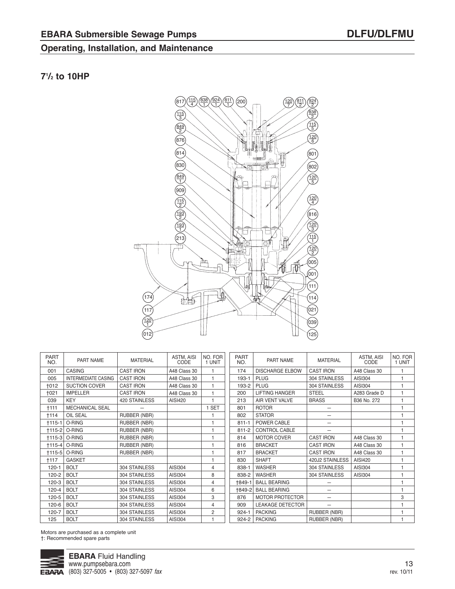#### **71 /2 to 10HP**



| <b>PART</b><br>NO. | PART NAME                  | <b>MATERIAL</b>  | ASTM, AISI<br>CODE | NO. FOR<br>1 UNIT | <b>PART</b><br>NO. | PART NAME               | <b>MATERIAL</b>          | ASTM, AISI<br>CODE | NO. FOR<br>1 UNIT |
|--------------------|----------------------------|------------------|--------------------|-------------------|--------------------|-------------------------|--------------------------|--------------------|-------------------|
| 001                | <b>CASING</b>              | <b>CAST IRON</b> | A48 Class 30       |                   | 174                | <b>DISCHARGE ELBOW</b>  | <b>CAST IRON</b>         | A48 Class 30       |                   |
| 005                | <b>INTERMEDIATE CASING</b> | <b>CAST IRON</b> | A48 Class 30       | 1                 | 193-1              | <b>PLUG</b>             | 304 STAINLESS            | AISI304            |                   |
| <b>+012</b>        | <b>SUCTION COVER</b>       | <b>CAST IRON</b> | A48 Class 30       | 1                 | 193-2              | <b>PLUG</b>             | 304 STAINLESS            | AISI304            |                   |
| +021               | <b>IMPELLER</b>            | <b>CAST IRON</b> | A48 Class 30       |                   | 200                | <b>LIFTING HANGER</b>   | <b>STEEL</b>             | A283 Grade D       |                   |
| 039                | <b>KEY</b>                 | 420 STAINLESS    | AISI420            |                   | 213                | AIR VENT VALVE          | <b>BRASS</b>             | B36 No. 272        |                   |
| <b>+111</b>        | <b>MECHANICAL SEAL</b>     |                  |                    | 1 SET             | 801                | <b>ROTOR</b>            |                          |                    |                   |
| <b>t114</b>        | <b>OIL SEAL</b>            | RUBBER (NBR)     |                    |                   | 802                | <b>STATOR</b>           |                          |                    |                   |
| $+115-1$           | O-RING                     | RUBBER (NBR)     |                    |                   | $811 - 1$          | POWER CABLE             |                          |                    |                   |
| $+115-2$           | O-RING                     | RUBBER (NBR)     |                    |                   | $811 - 2$          | CONTROL CABLE           |                          |                    |                   |
| $+115-3$           | O-RING                     | RUBBER (NBR)     |                    |                   | 814                | <b>MOTOR COVER</b>      | <b>CAST IRON</b>         | A48 Class 30       |                   |
| $+115-4$           | O-RING                     | RUBBER (NBR)     |                    |                   | 816                | <b>BRACKET</b>          | <b>CAST IRON</b>         | A48 Class 30       |                   |
| $+115-5$           | O-RING                     | RUBBER (NBR)     |                    |                   | 817                | <b>BRACKET</b>          | <b>CAST IRON</b>         | A48 Class 30       |                   |
| $+117$             | <b>GASKET</b>              |                  |                    |                   | 830                | <b>SHAFT</b>            | 420J2 STAINLESS          | AISI420            |                   |
| $120 - 1$          | <b>BOLT</b>                | 304 STAINLESS    | AISI304            | $\overline{4}$    | 838-1              | <b>WASHER</b>           | 304 STAINLESS            | AISI304            |                   |
| 120-2              | <b>BOLT</b>                | 304 STAINLESS    | AISI304            | 8                 | 838-2              | <b>WASHER</b>           | 304 STAINLESS            | AISI304            |                   |
| 120-3              | <b>BOLT</b>                | 304 STAINLESS    | AISI304            | $\overline{4}$    | †849-1             | <b>BALL BEARING</b>     |                          |                    |                   |
| 120-4              | <b>BOLT</b>                | 304 STAINLESS    | AISI304            | 6                 | +849-2             | <b>BALL BEARING</b>     |                          |                    |                   |
| 120-5              | <b>BOLT</b>                | 304 STAINLESS    | AISI304            | 3                 | 876                | <b>MOTOR PROTECTOR</b>  | $\overline{\phantom{0}}$ |                    | 3                 |
| 120-6              | <b>BOLT</b>                | 304 STAINLESS    | AISI304            | 4                 | 909                | <b>LEAKAGE DETECTOR</b> | $\equiv$                 |                    |                   |
| 120-7              | <b>BOLT</b>                | 304 STAINLESS    | AISI304            | 2                 | $924 - 1$          | <b>PACKING</b>          | RUBBER (NBR)             |                    |                   |
| 125                | <b>BOLT</b>                | 304 STAINLESS    | AISI304            |                   | 924-2              | <b>PACKING</b>          | RUBBER (NBR)             |                    |                   |

Motors are purchased as a complete unit †: Recommended spare parts

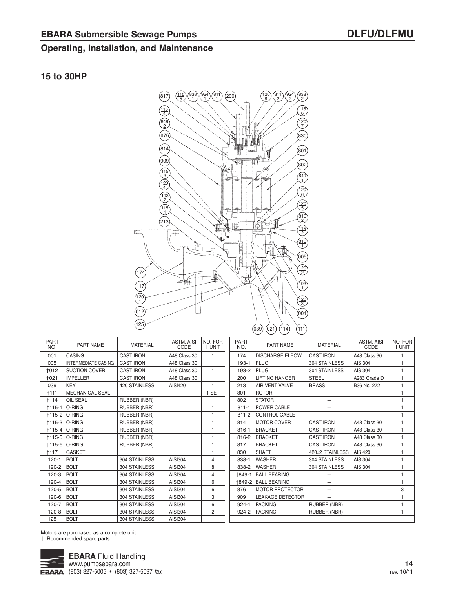#### **15 to 30HP**



| <b>PART</b><br>NO. | <b>PART NAME</b>           | <b>MATERIAL</b>     | <b>ASTM, AISI</b><br>CODE | NO. FOR<br>1 UNIT |
|--------------------|----------------------------|---------------------|---------------------------|-------------------|
| 001                | CASING                     | <b>CAST IRON</b>    | A48 Class 30              | 1                 |
| 005                | <b>INTERMEDIATE CASING</b> | <b>CAST IRON</b>    | A48 Class 30              | $\mathbf{1}$      |
| <b>+012</b>        | <b>SUCTION COVER</b>       | <b>CAST IRON</b>    | A48 Class 30              | $\mathbf{1}$      |
| +021               | <b>IMPELLER</b>            | <b>CAST IRON</b>    | A48 Class 30              | 1                 |
| 039                | <b>KEY</b>                 | 420 STAINLESS       | AISI420                   | 1                 |
| +111               | <b>MECHANICAL SEAL</b>     |                     |                           | 1 SET             |
| †114               | OIL SEAL                   | RUBBER (NBR)        |                           | 1                 |
| $+115-1$           | O-RING                     | <b>RUBBER (NBR)</b> |                           | 1                 |
|                    | <b>+115-2 O-RING</b>       | <b>RUBBER (NBR)</b> |                           | 1                 |
|                    | <b>+115-3 O-RING</b>       | <b>RUBBER (NBR)</b> |                           | 1                 |
|                    | <b>+115-4 O-RING</b>       | <b>RUBBER (NBR)</b> |                           | 1                 |
|                    | †115-5   O-RING            | <b>RUBBER (NBR)</b> |                           | 1                 |
|                    | <b>+115-6 O-RING</b>       | <b>RUBBER (NBR)</b> |                           | 1                 |
| +117               | <b>GASKET</b>              |                     |                           | 1                 |
| $120 - 1$          | <b>BOLT</b>                | 304 STAINLESS       | AISI304                   | 4                 |
| 120-2              | <b>BOLT</b>                | 304 STAINLESS       | AISI304                   | 8                 |
| 120-3              | <b>BOLT</b>                | 304 STAINLESS       | AISI304                   | 4                 |
| $120 - 4$          | <b>BOLT</b>                | 304 STAINLESS       | AISI304                   | 6                 |
| 120-5              | <b>BOLT</b>                | 304 STAINLESS       | AISI304                   | 6                 |
| 120-6              | <b>BOLT</b>                | 304 STAINLESS       | AISI304                   | 3                 |
| 120-7              | <b>BOLT</b>                | 304 STAINLESS       | AISI304                   | 6                 |
| $120 - 8$          | <b>BOLT</b>                | 304 STAINLESS       | AISI304                   | $\overline{2}$    |
| 125                | <b>BOLT</b>                | 304 STAINLESS       | AISI304                   | 1                 |

| <b>PART</b><br>NO. | PART NAME               | <b>MATERIAL</b>  | ASTM, AISI<br>CODE | NO. FOR<br>1 UNIT |
|--------------------|-------------------------|------------------|--------------------|-------------------|
| 174                | <b>DISCHARGE ELBOW</b>  | <b>CAST IRON</b> | A48 Class 30       | 1                 |
| $193 - 1$          | <b>PLUG</b>             | 304 STAINLESS    | AISI304            | 1                 |
| 193-2              | <b>PLUG</b>             | 304 STAINLESS    | AISI304            | 1                 |
| 200                | <b>LIFTING HANGER</b>   | <b>STEEL</b>     | A283 Grade D       | 1                 |
| 213                | <b>AIR VENT VALVE</b>   | <b>BRASS</b>     | B36 No. 272        | $\mathbf{1}$      |
| 801                | <b>ROTOR</b>            |                  |                    | 1                 |
| 802                | <b>STATOR</b>           |                  |                    | 1                 |
| $811 - 1$          | POWER CABLE             |                  |                    | 1                 |
| $811 - 2$          | <b>CONTROL CABLE</b>    |                  |                    | 1                 |
| 814                | <b>MOTOR COVER</b>      | <b>CAST IRON</b> | A48 Class 30       | 1                 |
| $816 - 1$          | <b>BRACKET</b>          | <b>CAST IRON</b> | A48 Class 30       | 1                 |
| 816-2              | <b>BRACKET</b>          | <b>CAST IRON</b> | A48 Class 30       | 1                 |
| 817                | <b>BRACKET</b>          | <b>CAST IRON</b> | A48 Class 30       | 1                 |
| 830                | <b>SHAFT</b>            | 420J2 STAINLESS  | AISI420            | 1                 |
| 838-1              | <b>WASHER</b>           | 304 STAINLESS    | AISI304            | 1                 |
| 838-2              | <b>WASHER</b>           | 304 STAINLESS    | AISI304            | 1                 |
| $+849-1$           | <b>BALL BEARING</b>     |                  |                    | 1                 |
| <b>+849-21</b>     | <b>BALL BEARING</b>     |                  |                    | 1                 |
| 876                | <b>MOTOR PROTECTOR</b>  |                  |                    | 3                 |
| 909                | <b>LEAKAGE DETECTOR</b> |                  |                    | 1                 |
| $924 - 1$          | <b>PACKING</b>          | RUBBER (NBR)     |                    | 1                 |
| 924-2              | <b>PACKING</b>          | RUBBER (NBR)     |                    | 1                 |
|                    |                         |                  |                    |                   |

Motors are purchased as a complete unit †: Recommended spare parts

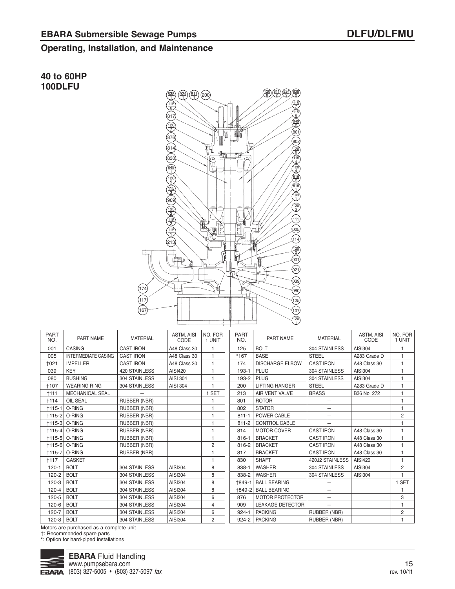**40 to 60HP 100DLFU**

#### **Operating, Installation, and Maintenance**



| <b>PART</b><br>NO. | PART NAME                  | <b>MATERIAL</b>     | ASTM, AISI<br>CODE | NO. FOR<br>1 UNIT | <b>PART</b><br>NO. | PART NAME               | <b>MATERIAL</b>          | ASTM, AISI<br>CODE | NO. FOR<br>1 UNIT |
|--------------------|----------------------------|---------------------|--------------------|-------------------|--------------------|-------------------------|--------------------------|--------------------|-------------------|
| 001                | <b>CASING</b>              | <b>CAST IRON</b>    | A48 Class 30       |                   | 125                | <b>BOLT</b>             | 304 STAINLESS            | AISI304            |                   |
| 005                | <b>INTERMEDIATE CASING</b> | <b>CAST IRON</b>    | A48 Class 30       | $\mathbf{1}$      | $*167$             | <b>BASE</b>             | <b>STEEL</b>             | A283 Grade D       |                   |
| +021               | <b>IMPELLER</b>            | <b>CAST IRON</b>    | A48 Class 30       | $\mathbf{1}$      | 174                | <b>DISCHARGE ELBOW</b>  | <b>CAST IRON</b>         | A48 Class 30       | $\overline{1}$    |
| 039                | <b>KEY</b>                 | 420 STAINLESS       | AISI420            | $\mathbf{1}$      | 193-1              | <b>PLUG</b>             | 304 STAINLESS            | AISI304            | $\overline{1}$    |
| 080                | <b>BUSHING</b>             | 304 STAINLESS       | AISI 304           | 1                 | 193-2              | <b>PLUG</b>             | 304 STAINLESS            | AISI304            | 1                 |
| +107               | <b>WEARING RING</b>        | 304 STAINLESS       | AISI 304           | 1                 | 200                | <b>LIFTING HANGER</b>   | <b>STEEL</b>             | A283 Grade D       | 1                 |
| $+111$             | <b>MECHANICAL SEAL</b>     |                     |                    | <b>SET</b>        | 213                | AIR VENT VALVE          | <b>BRASS</b>             | B36 No. 272        | 1                 |
| +114               | <b>OIL SEAL</b>            | <b>RUBBER (NBR)</b> |                    |                   | 801                | <b>ROTOR</b>            |                          |                    | $\overline{1}$    |
| $+115-1$           | O-RING                     | RUBBER (NBR)        |                    | 1                 | 802                | <b>STATOR</b>           | -                        |                    | 1                 |
| $+115-2$           | O-RING                     | <b>RUBBER (NBR)</b> |                    | 1                 | $811 - 1$          | POWER CABLE             |                          |                    | $\overline{c}$    |
| $+115-3$           | O-RING                     | RUBBER (NBR)        |                    | 1                 | $811 - 2$          | CONTROL CABLE           |                          |                    |                   |
| $+115-4$           | O-RING                     | RUBBER (NBR)        |                    | 1                 | 814                | <b>MOTOR COVER</b>      | <b>CAST IRON</b>         | A48 Class 30       | 1                 |
| $+115-5$           | O-RING                     | <b>RUBBER (NBR)</b> |                    | 1                 | 816-1              | <b>BRACKET</b>          | <b>CAST IRON</b>         | A48 Class 30       | 1                 |
| +115-6             | O-RING                     | <b>RUBBER (NBR)</b> |                    | 2                 | 816-2              | <b>BRACKET</b>          | <b>CAST IRON</b>         | A48 Class 30       | 1                 |
| $+115-7$           | O-RING                     | RUBBER (NBR)        |                    | 1                 | 817                | <b>BRACKET</b>          | <b>CAST IRON</b>         | A48 Class 30       | 1                 |
| +117               | <b>GASKET</b>              |                     |                    | 1                 | 830                | <b>SHAFT</b>            | 420J2 STAINLESS          | AISI420            | 1                 |
| $120 - 1$          | <b>BOLT</b>                | 304 STAINLESS       | AISI304            | 8                 | 838-1              | <b>WASHER</b>           | 304 STAINLESS            | AISI304            | 2                 |
| 120-2              | <b>BOLT</b>                | 304 STAINLESS       | AISI304            | 8                 | 838-2              | <b>WASHER</b>           | 304 STAINLESS            | AISI304            |                   |
| 120-3              | <b>BOLT</b>                | 304 STAINLESS       | AISI304            | 8                 | +849-1             | <b>BALL BEARING</b>     |                          |                    | 1 SET             |
| 120-4              | <b>BOLT</b>                | 304 STAINLESS       | AISI304            | 8                 | +849-2             | <b>BALL BEARING</b>     |                          |                    | 1                 |
| 120-5              | <b>BOLT</b>                | 304 STAINLESS       | AISI304            | 6                 | 876                | <b>MOTOR PROTECTOR</b>  | $\overline{\phantom{0}}$ |                    | 3                 |
| $120 - 6$          | <b>BOLT</b>                | 304 STAINLESS       | AISI304            | 4                 | 909                | <b>LEAKAGE DETECTOR</b> |                          |                    | 1                 |
| 120-7              | <b>BOLT</b>                | 304 STAINLESS       | AISI304            | 6                 | $924 - 1$          | <b>PACKING</b>          | <b>RUBBER (NBR)</b>      |                    | 2                 |
| $120 - 8$          | <b>BOLT</b>                | 304 STAINLESS       | AISI304            | $\overline{2}$    | 924-2              | <b>PACKING</b>          | RUBBER (NBR)             |                    |                   |

Motors are purchased as a complete unit

†: Recommended spare parts **\***: Option for hard-piped installations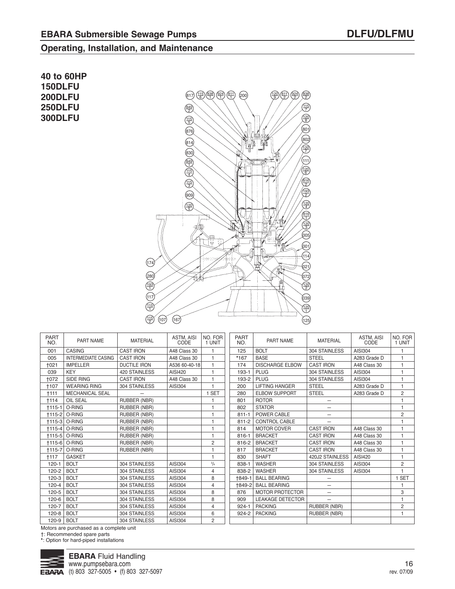**40 to 60HP 150DLFU 200DLFU 250DLFU 300DLFU**



| <b>PART</b><br>NO. | PART NAME                  | <b>MATERIAL</b>     | ASTM, AISI<br>CODE | NO. FOR<br>1 UNIT | <b>PART</b><br>NO. | <b>PART NAME</b>        | <b>MATERIAL</b>          | ASTM, AISI<br>CODE | NO. FOR<br>1 UNIT |
|--------------------|----------------------------|---------------------|--------------------|-------------------|--------------------|-------------------------|--------------------------|--------------------|-------------------|
| 001                | CASING                     | <b>CAST IRON</b>    | A48 Class 30       |                   | 125                | <b>BOLT</b>             | 304 STAINLESS            | AISI304            | 1                 |
| 005                | <b>INTERMEDIATE CASING</b> | <b>CAST IRON</b>    | A48 Class 30       |                   | *167               | <b>BASE</b>             | <b>STEEL</b>             | A283 Grade D       |                   |
| <b>+021</b>        | <b>IMPELLER</b>            | <b>DUCTILE IRON</b> | A536 60-40-18      |                   | 174                | <b>DISCHARGE ELBOW</b>  | <b>CAST IRON</b>         | A48 Class 30       |                   |
| 039                | <b>KEY</b>                 | 420 STAINLESS       | AISI420            |                   | 193-1              | PLUG                    | 304 STAINLESS            | AISI304            |                   |
| <b>+072</b>        | SIDE RING                  | <b>CAST IRON</b>    | A48 Class 30       |                   | 193-2              | <b>PLUG</b>             | 304 STAINLESS            | AISI304            |                   |
| +107               | <b>WEARING RING</b>        | 304 STAINLESS       | <b>AISI304</b>     | $\mathbf{1}$      | 200                | <b>LIFTING HANGER</b>   | <b>STEEL</b>             | A283 Grade D       | 1                 |
| $+111$             | <b>MECHANICAL SEAL</b>     |                     |                    | <b>SET</b>        | 280                | <b>ELBOW SUPPORT</b>    | <b>STEEL</b>             | A283 Grade D       | 2                 |
| +114               | <b>OIL SEAL</b>            | RUBBER (NBR)        |                    |                   | 801                | <b>ROTOR</b>            |                          |                    |                   |
| $+115-1$           | O-RING                     | RUBBER (NBR)        |                    | $\overline{1}$    | 802                | <b>STATOR</b>           | -                        |                    | 1                 |
| $+115-2$           | $O-RING$                   | RUBBER (NBR)        |                    |                   | $811 - 1$          | POWER CABLE             | $\overline{\phantom{0}}$ |                    | 2                 |
|                    | †115-3 O-RING              | RUBBER (NBR)        |                    |                   | $811 - 2$          | <b>CONTROL CABLE</b>    |                          |                    |                   |
|                    | †115-4 O-RING              | <b>RUBBER (NBR)</b> |                    | $\overline{1}$    | 814                | <b>MOTOR COVER</b>      | <b>CAST IRON</b>         | A48 Class 30       |                   |
|                    | †115-5 O-RING              | RUBBER (NBR)        |                    | $\overline{1}$    | $816 - 1$          | <b>BRACKET</b>          | <b>CAST IRON</b>         | A48 Class 30       | 1                 |
| $+115-6$           | O-RING                     | <b>RUBBER (NBR)</b> |                    | 2                 | 816-2              | <b>BRACKET</b>          | <b>CAST IRON</b>         | A48 Class 30       |                   |
| $+115-7$           | O-RING                     | <b>RUBBER (NBR)</b> |                    |                   | 817                | <b>BRACKET</b>          | <b>CAST IRON</b>         | A48 Class 30       |                   |
| +117               | <b>GASKET</b>              |                     |                    | $\overline{1}$    | 830                | <b>SHAFT</b>            | 420J2 STAINLESS          | AISI420            | $\overline{1}$    |
| $120 - 1$          | <b>BOLT</b>                | 304 STAINLESS       | AISI304            | $^{3}/_{4}$       | 838-1              | <b>WASHER</b>           | 304 STAINLESS            | AISI304            | $\overline{c}$    |
| 120-2              | <b>BOLT</b>                | 304 STAINLESS       | AISI304            | 4                 | 838-2              | <b>WASHER</b>           | 304 STAINLESS            | AISI304            | 1                 |
| $120 - 3$          | <b>BOLT</b>                | 304 STAINLESS       | AISI304            | 8                 | +849-1             | <b>BALL BEARING</b>     |                          |                    | 1 SET             |
| 120-4              | <b>BOLT</b>                | 304 STAINLESS       | <b>AISI304</b>     | $\overline{4}$    | +849-2             | <b>BALL BEARING</b>     | -                        |                    |                   |
| 120-5              | <b>BOLT</b>                | 304 STAINLESS       | <b>AISI304</b>     | 8                 | 876                | <b>MOTOR PROTECTOR</b>  |                          |                    | 3                 |
| 120-6              | <b>BOLT</b>                | 304 STAINLESS       | AISI304            | 8                 | 909                | <b>LEAKAGE DETECTOR</b> | $\overline{\phantom{0}}$ |                    | 1                 |
| 120-7              | <b>BOLT</b>                | 304 STAINLESS       | AISI304            | $\overline{4}$    | $924 - 1$          | <b>PACKING</b>          | RUBBER (NBR)             |                    | $\overline{2}$    |
| $120 - 8$          | <b>BOLT</b>                | 304 STAINLESS       | <b>AISI304</b>     | 6                 | 924-2              | <b>PACKING</b>          | RUBBER (NBR)             |                    | 1                 |
| 120-9              | <b>BOLT</b>                | 304 STAINLESS       | AISI304            | $\overline{c}$    |                    |                         |                          |                    |                   |

Motors are purchased as a complete unit

†: Recommended spare parts

**\***: Option for hard-piped installations

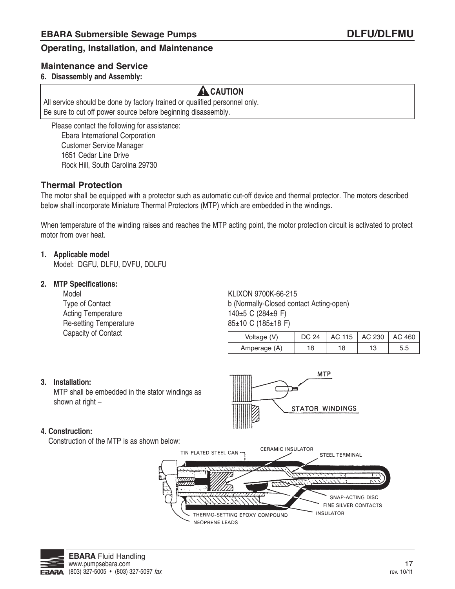#### **Maintenance and Service**

#### **6. Disassembly and assembly:**

### **A** CAUTION

All service should be done by factory trained or qualified personnel only. be sure to cut off power source before beginning disassembly.

Please contact the following for assistance: Ebara International Corporation Customer Service Manager 1651 Cedar Line Drive Rock Hill, South Carolina 29730

#### **Thermal Protection**

The motor shall be equipped with a protector such as automatic cut-off device and thermal protector. The motors described below shall incorporate Miniature Thermal Protectors (MTP) which are embedded in the windings.

When temperature of the winding raises and reaches the MTP acting point, the motor protection circuit is activated to protect motor from over heat.

#### **1. applicable model**

Model: DGFU, DLFU, DVFU, DDLFU

#### **2. MtP Specifications:**

Acting Temperature  $140±5 \text{ C } (284±9 \text{ F})$ Re-setting Temperature 85±10 C (185±18 F) Capacity of Contact

Model KLIXON 9700K-66-215 Type of Contact **b** (Normally-Closed contact Acting-open)

| Voltage (V)  |    | AC 115   AC 230   AC 460 |  |
|--------------|----|--------------------------|--|
| Amperage (A) | 18 |                          |  |

**MTP** 

STATOR WINDINGS

#### **3. installation:**

MTP shall be embedded in the stator windings as shown at right –

#### **4. Construction:**

Construction of the MTP is as shown below:



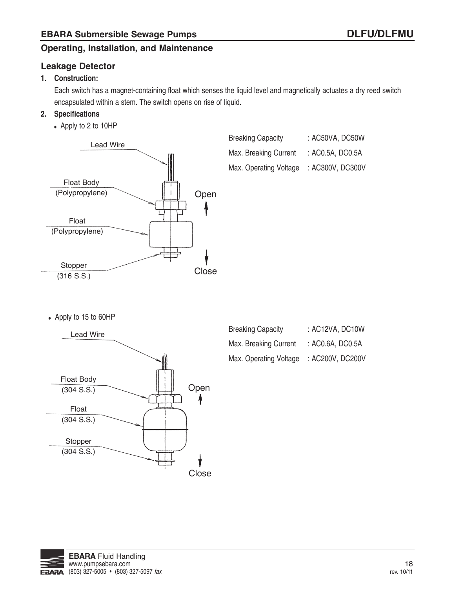#### **Leakage Detector**

#### **1. Construction:**

Each switch has a magnet-containing float which senses the liquid level and magnetically actuates a dry reed switch encapsulated within a stem. The switch opens on rise of liquid.

#### **2. Specifications**

• Apply to 2 to 10HP



| <b>Breaking Capacity</b> | : AC50VA, DC50W  |
|--------------------------|------------------|
| Max. Breaking Current    | : AC0.5A, DC0.5A |
| Max. Operating Voltage   | : AC300V, DC300V |

• Apply to 15 to 60HP



| <b>Breaking Capacity</b> | : AC12VA, DC10W  |
|--------------------------|------------------|
| Max. Breaking Current    | : AC0.6A, DC0.5A |
| Max. Operating Voltage   | : AC200V, DC200V |

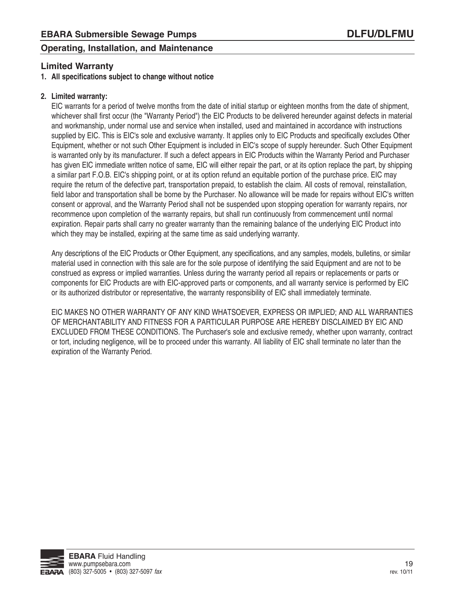#### **Limited Warranty**

#### **1. all specifications subject to change without notice**

#### **2. Limited warranty:**

EIC warrants for a period of twelve months from the date of initial startup or eighteen months from the date of shipment, whichever shall first occur (the "Warranty Period") the EIC Products to be delivered hereunder against defects in material and workmanship, under normal use and service when installed, used and maintained in accordance with instructions supplied by EIC. This is EIC's sole and exclusive warranty. It applies only to EIC Products and specifically excludes Other Equipment, whether or not such Other Equipment is included in EIC's scope of supply hereunder. Such Other Equipment is warranted only by its manufacturer. If such a defect appears in EIC Products within the Warranty Period and Purchaser has given EIC immediate written notice of same, EIC will either repair the part, or at its option replace the part, by shipping a similar part F.O.b. EIC's shipping point, or at its option refund an equitable portion of the purchase price. EIC may require the return of the defective part, transportation prepaid, to establish the claim. all costs of removal, reinstallation, field labor and transportation shall be borne by the Purchaser. No allowance will be made for repairs without EIC's written consent or approval, and the Warranty Period shall not be suspended upon stopping operation for warranty repairs, nor recommence upon completion of the warranty repairs, but shall run continuously from commencement until normal expiration. Repair parts shall carry no greater warranty than the remaining balance of the underlying EIC Product into which they may be installed, expiring at the same time as said underlying warranty.

any descriptions of the EIC Products or Other Equipment, any specifications, and any samples, models, bulletins, or similar material used in connection with this sale are for the sole purpose of identifying the said Equipment and are not to be construed as express or implied warranties. Unless during the warranty period all repairs or replacements or parts or components for EIC Products are with EIC-approved parts or components, and all warranty service is performed by EIC or its authorized distributor or representative, the warranty responsibility of EIC shall immediately terminate.

EIC MaKES NO OTHEr WarraNTY OF aNY KIND WHaTSOEVEr, EXPrESS Or IMPLIED; aND aLL WarraNTIES OF MErCHaNTabILITY aND FITNESS FOr a ParTICULar PUrPOSE arE HErEbY DISCLaIMED bY EIC aND EXCLUDED FrOM THESE CONDITIONS. The Purchaser's sole and exclusive remedy, whether upon warranty, contract or tort, including negligence, will be to proceed under this warranty. all liability of EIC shall terminate no later than the expiration of the Warranty Period.